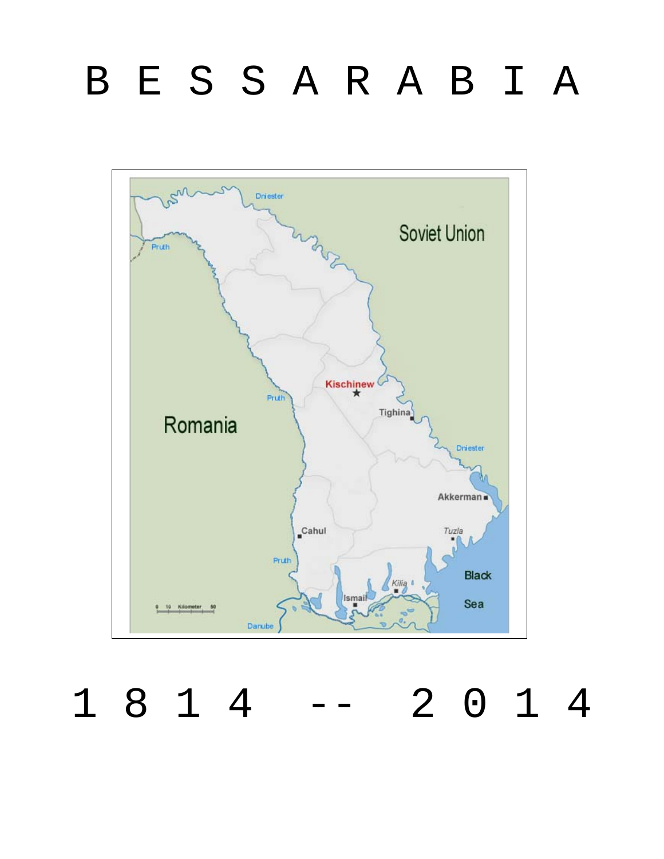# B E S S A R A B I A



1 8 1 4 -- 2 0 1 4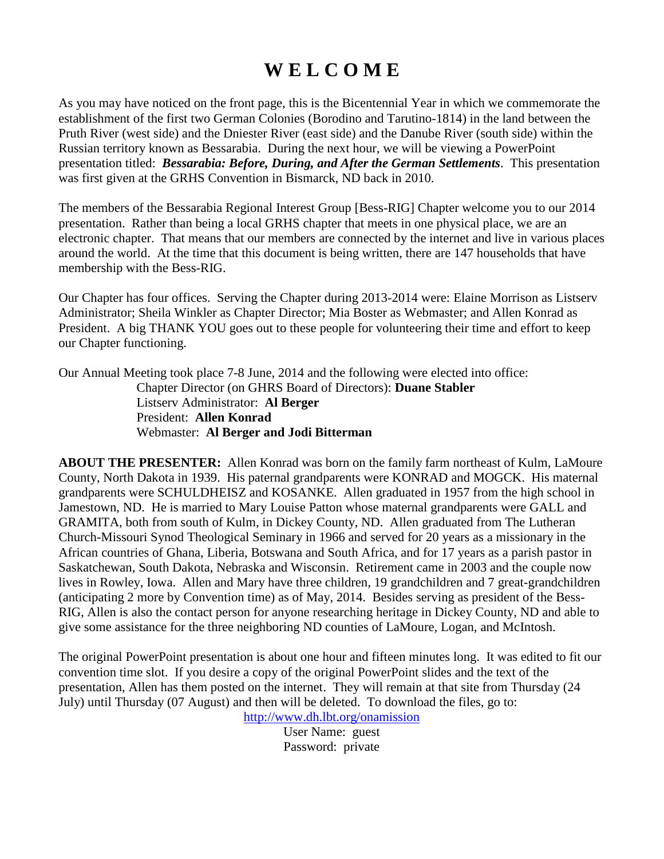## **W E L C O M E**

As you may have noticed on the front page, this is the Bicentennial Year in which we commemorate the establishment of the first two German Colonies (Borodino and Tarutino-1814) in the land between the Pruth River (west side) and the Dniester River (east side) and the Danube River (south side) within the Russian territory known as Bessarabia. During the next hour, we will be viewing a PowerPoint presentation titled: *Bessarabia: Before, During, and After the German Settlements*. This presentation was first given at the GRHS Convention in Bismarck, ND back in 2010.

The members of the Bessarabia Regional Interest Group [Bess-RIG] Chapter welcome you to our 2014 presentation. Rather than being a local GRHS chapter that meets in one physical place, we are an electronic chapter. That means that our members are connected by the internet and live in various places around the world. At the time that this document is being written, there are 147 households that have membership with the Bess-RIG.

Our Chapter has four offices. Serving the Chapter during 2013-2014 were: Elaine Morrison as Listserv Administrator; Sheila Winkler as Chapter Director; Mia Boster as Webmaster; and Allen Konrad as President. A big THANK YOU goes out to these people for volunteering their time and effort to keep our Chapter functioning.

Our Annual Meeting took place 7-8 June, 2014 and the following were elected into office: Chapter Director (on GHRS Board of Directors): **Duane Stabler** Listserv Administrator: **Al Berger** President: **Allen Konrad** Webmaster: **Al Berger and Jodi Bitterman**

**ABOUT THE PRESENTER:** Allen Konrad was born on the family farm northeast of Kulm, LaMoure County, North Dakota in 1939. His paternal grandparents were KONRAD and MOGCK. His maternal grandparents were SCHULDHEISZ and KOSANKE. Allen graduated in 1957 from the high school in Jamestown, ND. He is married to Mary Louise Patton whose maternal grandparents were GALL and GRAMITA, both from south of Kulm, in Dickey County, ND. Allen graduated from The Lutheran Church-Missouri Synod Theological Seminary in 1966 and served for 20 years as a missionary in the African countries of Ghana, Liberia, Botswana and South Africa, and for 17 years as a parish pastor in Saskatchewan, South Dakota, Nebraska and Wisconsin. Retirement came in 2003 and the couple now lives in Rowley, Iowa. Allen and Mary have three children, 19 grandchildren and 7 great-grandchildren (anticipating 2 more by Convention time) as of May, 2014. Besides serving as president of the Bess-RIG, Allen is also the contact person for anyone researching heritage in Dickey County, ND and able to give some assistance for the three neighboring ND counties of LaMoure, Logan, and McIntosh.

The original PowerPoint presentation is about one hour and fifteen minutes long. It was edited to fit our convention time slot. If you desire a copy of the original PowerPoint slides and the text of the presentation, Allen has them posted on the internet. They will remain at that site from Thursday (24 July) until Thursday (07 August) and then will be deleted. To download the files, go to:

<http://www.dh.lbt.org/onamission>

User Name: guest Password: private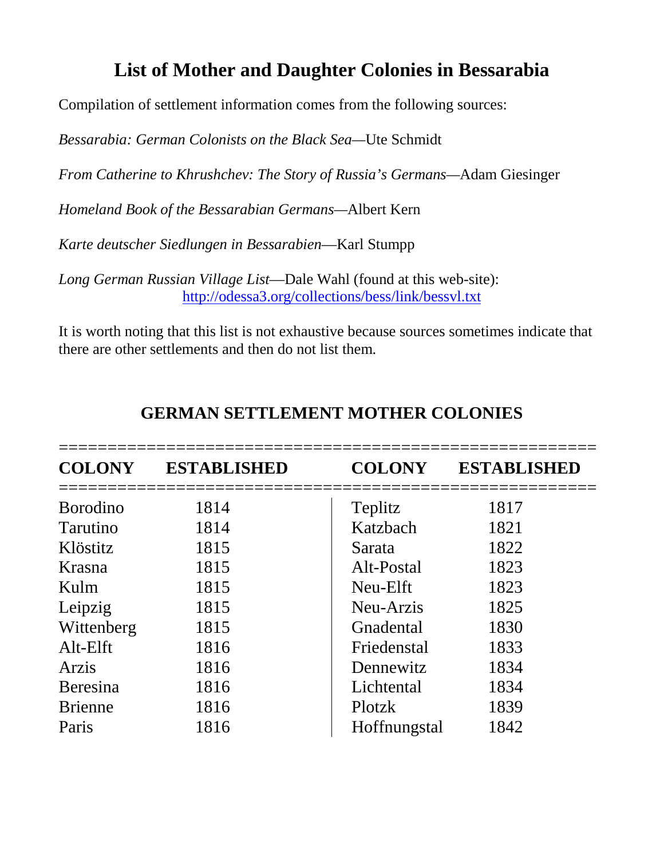### **List of Mother and Daughter Colonies in Bessarabia**

Compilation of settlement information comes from the following sources:

*Bessarabia: German Colonists on the Black Sea—*Ute Schmidt

*From Catherine to Khrushchev: The Story of Russia's Germans—*Adam Giesinger

*Homeland Book of the Bessarabian Germans—*Albert Kern

*Karte deutscher Siedlungen in Bessarabien*—Karl Stumpp

*Long German Russian Village List*—Dale Wahl (found at this web-site): <http://odessa3.org/collections/bess/link/bessvl.txt>

It is worth noting that this list is not exhaustive because sources sometimes indicate that there are other settlements and then do not list them.

| <b>COLONY</b>    | ESTABLISHED | <b>COLONY</b> | <b>ESTABLISHED</b> |
|------------------|-------------|---------------|--------------------|
| <b>B</b> orodino | 1814        | Teplitz       | 1817               |
| <b>Tarutino</b>  | 1814        | Katzbach      | 1821               |
| Klöstitz         | 1815        | Sarata        | 1822               |
| Krasna           | 1815        | Alt-Postal    | 1823               |
| Kulm             | 1815        | Neu-Elft      | 1823               |
| Leipzig          | 1815        | Neu-Arzis     | 1825               |
| Wittenberg       | 1815        | Gnadental     | 1830               |
| $Alt$ - $E$ lft  | 1816        | Friedenstal   | 1833               |
| Arzis            | 1816        | Dennewitz     | 1834               |
| Beresina         | 1816        | Lichtental    | 1834               |
| <b>Brienne</b>   | 1816        | Plotzk        | 1839               |
| Paris            | 1816        | Hoffnungstal  | 1842               |

#### **GERMAN SETTLEMENT MOTHER COLONIES**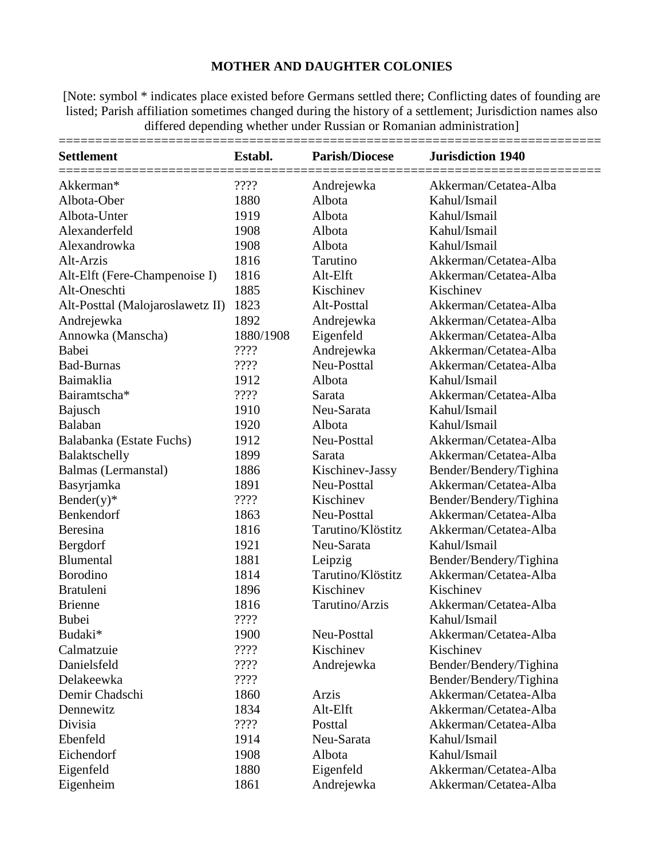#### **MOTHER AND DAUGHTER COLONIES**

[Note: symbol \* indicates place existed before Germans settled there; Conflicting dates of founding are listed; Parish affiliation sometimes changed during the history of a settlement; Jurisdiction names also differed depending whether under Russian or Romanian administration]

| <b>Settlement</b>                | Establ.   | <b>Parish/Diocese</b> | <b>Jurisdiction 1940</b> |
|----------------------------------|-----------|-----------------------|--------------------------|
| Akkerman*                        | ????      | Andrejewka            | Akkerman/Cetatea-Alba    |
| Albota-Ober                      | 1880      | Albota                | Kahul/Ismail             |
| Albota-Unter                     | 1919      | Albota                | Kahul/Ismail             |
| Alexanderfeld                    | 1908      | Albota                | Kahul/Ismail             |
| Alexandrowka                     | 1908      | Albota                | Kahul/Ismail             |
| Alt-Arzis                        | 1816      | Tarutino              | Akkerman/Cetatea-Alba    |
| Alt-Elft (Fere-Champenoise I)    | 1816      | Alt-Elft              | Akkerman/Cetatea-Alba    |
| Alt-Oneschti                     | 1885      | Kischinev             | Kischinev                |
| Alt-Posttal (Malojaroslawetz II) | 1823      | Alt-Posttal           | Akkerman/Cetatea-Alba    |
| Andrejewka                       | 1892      | Andrejewka            | Akkerman/Cetatea-Alba    |
| Annowka (Manscha)                | 1880/1908 | Eigenfeld             | Akkerman/Cetatea-Alba    |
| Babei                            | ????      | Andrejewka            | Akkerman/Cetatea-Alba    |
| <b>Bad-Burnas</b>                | ????      | Neu-Posttal           | Akkerman/Cetatea-Alba    |
| Baimaklia                        | 1912      | Albota                | Kahul/Ismail             |
| Bairamtscha*                     | ????      | Sarata                | Akkerman/Cetatea-Alba    |
| Bajusch                          | 1910      | Neu-Sarata            | Kahul/Ismail             |
| Balaban                          | 1920      | Albota                | Kahul/Ismail             |
| Balabanka (Estate Fuchs)         | 1912      | Neu-Posttal           | Akkerman/Cetatea-Alba    |
| Balaktschelly                    | 1899      | Sarata                | Akkerman/Cetatea-Alba    |
| Balmas (Lermanstal)              | 1886      | Kischinev-Jassy       | Bender/Bendery/Tighina   |
| Basyrjamka                       | 1891      | Neu-Posttal           | Akkerman/Cetatea-Alba    |
| $Bender(y)*$                     | ????      | Kischinev             | Bender/Bendery/Tighina   |
| Benkendorf                       | 1863      | Neu-Posttal           | Akkerman/Cetatea-Alba    |
| Beresina                         | 1816      | Tarutino/Klöstitz     | Akkerman/Cetatea-Alba    |
| Bergdorf                         | 1921      | Neu-Sarata            | Kahul/Ismail             |
| <b>Blumental</b>                 | 1881      | Leipzig               | Bender/Bendery/Tighina   |
| Borodino                         | 1814      | Tarutino/Klöstitz     | Akkerman/Cetatea-Alba    |
| <b>Bratuleni</b>                 | 1896      | Kischinev             | Kischinev                |
| <b>Brienne</b>                   | 1816      | Tarutino/Arzis        | Akkerman/Cetatea-Alba    |
| <b>Bubei</b>                     | 2222      |                       | Kahul/Ismail             |
| Budaki*                          | 1900      | Neu-Posttal           | Akkerman/Cetatea-Alba    |
| Calmatzuie                       | ????      | Kischinev             | Kischinev                |
| Danielsfeld                      | ????      | Andrejewka            | Bender/Bendery/Tighina   |
| Delakeewka                       | ????      |                       | Bender/Bendery/Tighina   |
| Demir Chadschi                   | 1860      | Arzis                 | Akkerman/Cetatea-Alba    |
| Dennewitz                        | 1834      | Alt-Elft              | Akkerman/Cetatea-Alba    |
| Divisia                          | ????      | Posttal               | Akkerman/Cetatea-Alba    |
| Ebenfeld                         | 1914      | Neu-Sarata            | Kahul/Ismail             |
| Eichendorf                       | 1908      | Albota                | Kahul/Ismail             |
| Eigenfeld                        | 1880      | Eigenfeld             | Akkerman/Cetatea-Alba    |
| Eigenheim                        | 1861      | Andrejewka            | Akkerman/Cetatea-Alba    |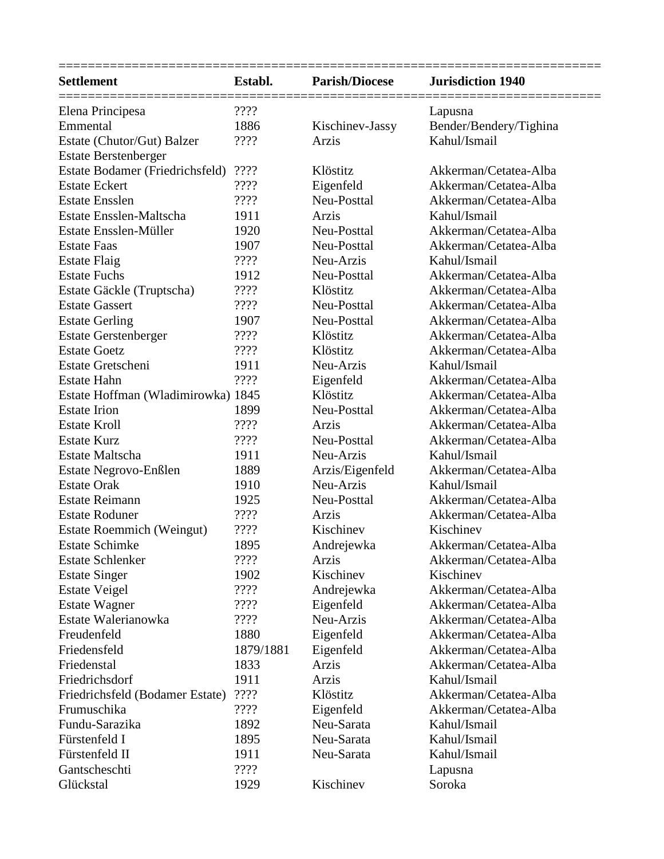| <b>Settlement</b>                  | Establ.   | <b>Parish/Diocese</b> | <b>Jurisdiction 1940</b> |
|------------------------------------|-----------|-----------------------|--------------------------|
| Elena Principesa                   | ????      |                       | Lapusna                  |
| Emmental                           | 1886      | Kischinev-Jassy       | Bender/Bendery/Tighina   |
| Estate (Chutor/Gut) Balzer         | ????      | Arzis                 | Kahul/Ismail             |
| <b>Estate Berstenberger</b>        |           |                       |                          |
| Estate Bodamer (Friedrichsfeld)    | ????      | Klöstitz              | Akkerman/Cetatea-Alba    |
| <b>Estate Eckert</b>               | ????      | Eigenfeld             | Akkerman/Cetatea-Alba    |
| <b>Estate Ensslen</b>              | ????      | Neu-Posttal           | Akkerman/Cetatea-Alba    |
| Estate Ensslen-Maltscha            | 1911      | Arzis                 | Kahul/Ismail             |
| Estate Ensslen-Müller              | 1920      | Neu-Posttal           | Akkerman/Cetatea-Alba    |
| <b>Estate Faas</b>                 | 1907      | Neu-Posttal           | Akkerman/Cetatea-Alba    |
| <b>Estate Flaig</b>                | ????      | Neu-Arzis             | Kahul/Ismail             |
| <b>Estate Fuchs</b>                | 1912      | Neu-Posttal           | Akkerman/Cetatea-Alba    |
| Estate Gäckle (Truptscha)          | ????      | Klöstitz              | Akkerman/Cetatea-Alba    |
| <b>Estate Gassert</b>              | 2222      | Neu-Posttal           | Akkerman/Cetatea-Alba    |
| <b>Estate Gerling</b>              | 1907      | Neu-Posttal           | Akkerman/Cetatea-Alba    |
| <b>Estate Gerstenberger</b>        | ????      | Klöstitz              | Akkerman/Cetatea-Alba    |
| <b>Estate Goetz</b>                | ????      | Klöstitz              | Akkerman/Cetatea-Alba    |
| Estate Gretscheni                  | 1911      | Neu-Arzis             | Kahul/Ismail             |
| Estate Hahn                        | ????      | Eigenfeld             | Akkerman/Cetatea-Alba    |
| Estate Hoffman (Wladimirowka) 1845 |           | Klöstitz              | Akkerman/Cetatea-Alba    |
| <b>Estate Irion</b>                | 1899      | Neu-Posttal           | Akkerman/Cetatea-Alba    |
| <b>Estate Kroll</b>                | ????      | Arzis                 | Akkerman/Cetatea-Alba    |
| <b>Estate Kurz</b>                 | ????      | Neu-Posttal           | Akkerman/Cetatea-Alba    |
| Estate Maltscha                    | 1911      | Neu-Arzis             | Kahul/Ismail             |
| Estate Negrovo-Enßlen              | 1889      | Arzis/Eigenfeld       | Akkerman/Cetatea-Alba    |
| <b>Estate Orak</b>                 | 1910      | Neu-Arzis             | Kahul/Ismail             |
| <b>Estate Reimann</b>              | 1925      | Neu-Posttal           | Akkerman/Cetatea-Alba    |
| <b>Estate Roduner</b>              | ????      | Arzis                 | Akkerman/Cetatea-Alba    |
| <b>Estate Roemmich (Weingut)</b>   | 2222      | Kischinev             | Kischinev                |
| <b>Estate Schimke</b>              | 1895      | Andrejewka            | Akkerman/Cetatea-Alba    |
| <b>Estate Schlenker</b>            | ????      | Arzis                 | Akkerman/Cetatea-Alba    |
| <b>Estate Singer</b>               | 1902      | Kischinev             | Kischinev                |
| <b>Estate Veigel</b>               | 2222      | Andrejewka            | Akkerman/Cetatea-Alba    |
| <b>Estate Wagner</b>               | ????      | Eigenfeld             | Akkerman/Cetatea-Alba    |
| Estate Walerianowka                | ????      | Neu-Arzis             | Akkerman/Cetatea-Alba    |
| Freudenfeld                        | 1880      | Eigenfeld             | Akkerman/Cetatea-Alba    |
| Friedensfeld                       | 1879/1881 | Eigenfeld             | Akkerman/Cetatea-Alba    |
| Friedenstal                        | 1833      | Arzis                 | Akkerman/Cetatea-Alba    |
| Friedrichsdorf                     | 1911      | Arzis                 | Kahul/Ismail             |
| Friedrichsfeld (Bodamer Estate)    | ????      | Klöstitz              | Akkerman/Cetatea-Alba    |
| Frumuschika                        | ????      | Eigenfeld             | Akkerman/Cetatea-Alba    |
| Fundu-Sarazika                     | 1892      | Neu-Sarata            | Kahul/Ismail             |
| Fürstenfeld I                      | 1895      | Neu-Sarata            | Kahul/Ismail             |
| Fürstenfeld II                     | 1911      | Neu-Sarata            | Kahul/Ismail             |
| Gantscheschti                      | ????      |                       | Lapusna                  |
| Glückstal                          | 1929      | Kischinev             | Soroka                   |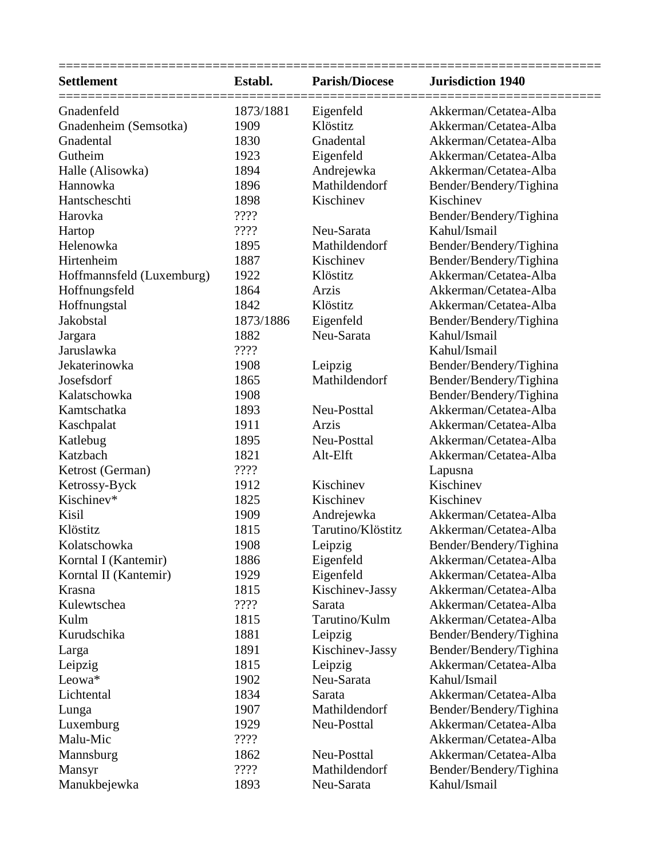| <b>Settlement</b>         | Establ.   | <b>Parish/Diocese</b> | <b>Jurisdiction 1940</b> |
|---------------------------|-----------|-----------------------|--------------------------|
| Gnadenfeld                | 1873/1881 | Eigenfeld             | Akkerman/Cetatea-Alba    |
| Gnadenheim (Semsotka)     | 1909      | Klöstitz              | Akkerman/Cetatea-Alba    |
| Gnadental                 | 1830      | Gnadental             | Akkerman/Cetatea-Alba    |
| Gutheim                   | 1923      | Eigenfeld             | Akkerman/Cetatea-Alba    |
| Halle (Alisowka)          | 1894      | Andrejewka            | Akkerman/Cetatea-Alba    |
| Hannowka                  | 1896      | Mathildendorf         | Bender/Bendery/Tighina   |
| Hantscheschti             | 1898      | Kischinev             | Kischinev                |
| Harovka                   | ????      |                       | Bender/Bendery/Tighina   |
| Hartop                    | ????      | Neu-Sarata            | Kahul/Ismail             |
| Helenowka                 | 1895      | Mathildendorf         | Bender/Bendery/Tighina   |
| Hirtenheim                | 1887      | Kischinev             | Bender/Bendery/Tighina   |
| Hoffmannsfeld (Luxemburg) | 1922      | Klöstitz              | Akkerman/Cetatea-Alba    |
| Hoffnungsfeld             | 1864      | Arzis                 | Akkerman/Cetatea-Alba    |
| Hoffnungstal              | 1842      | Klöstitz              | Akkerman/Cetatea-Alba    |
| Jakobstal                 | 1873/1886 | Eigenfeld             | Bender/Bendery/Tighina   |
| Jargara                   | 1882      | Neu-Sarata            | Kahul/Ismail             |
| Jaruslawka                | ????      |                       | Kahul/Ismail             |
| Jekaterinowka             | 1908      | Leipzig               | Bender/Bendery/Tighina   |
| Josefsdorf                | 1865      | Mathildendorf         | Bender/Bendery/Tighina   |
| Kalatschowka              | 1908      |                       | Bender/Bendery/Tighina   |
| Kamtschatka               | 1893      | Neu-Posttal           | Akkerman/Cetatea-Alba    |
| Kaschpalat                | 1911      | Arzis                 | Akkerman/Cetatea-Alba    |
| Katlebug                  | 1895      | Neu-Posttal           | Akkerman/Cetatea-Alba    |
| Katzbach                  | 1821      | Alt-Elft              | Akkerman/Cetatea-Alba    |
| Ketrost (German)          | ????      |                       | Lapusna                  |
| Ketrossy-Byck             | 1912      | Kischinev             | Kischinev                |
| Kischinev*                | 1825      | Kischinev             | Kischinev                |
| Kisil                     | 1909      | Andrejewka            | Akkerman/Cetatea-Alba    |
| Klöstitz                  | 1815      | Tarutino/Klöstitz     | Akkerman/Cetatea-Alba    |
| Kolatschowka              | 1908      | Leipzig               | Bender/Bendery/Tighina   |
| Korntal I (Kantemir)      | 1886      | Eigenfeld             | Akkerman/Cetatea-Alba    |
| Korntal II (Kantemir)     | 1929      | Eigenfeld             | Akkerman/Cetatea-Alba    |
| Krasna                    | 1815      | Kischinev-Jassy       | Akkerman/Cetatea-Alba    |
| Kulewtschea               | ????      | Sarata                | Akkerman/Cetatea-Alba    |
| Kulm                      | 1815      | Tarutino/Kulm         | Akkerman/Cetatea-Alba    |
| Kurudschika               | 1881      | Leipzig               | Bender/Bendery/Tighina   |
| Larga                     | 1891      | Kischinev-Jassy       | Bender/Bendery/Tighina   |
| Leipzig                   | 1815      | Leipzig               | Akkerman/Cetatea-Alba    |
| Leowa*                    | 1902      | Neu-Sarata            | Kahul/Ismail             |
| Lichtental                | 1834      | Sarata                | Akkerman/Cetatea-Alba    |
| Lunga                     | 1907      | Mathildendorf         | Bender/Bendery/Tighina   |
| Luxemburg                 | 1929      | Neu-Posttal           | Akkerman/Cetatea-Alba    |
| Malu-Mic                  | ????      |                       | Akkerman/Cetatea-Alba    |
| Mannsburg                 | 1862      | Neu-Posttal           | Akkerman/Cetatea-Alba    |
| Mansyr                    | 2222      | Mathildendorf         | Bender/Bendery/Tighina   |
| Manukbejewka              | 1893      | Neu-Sarata            | Kahul/Ismail             |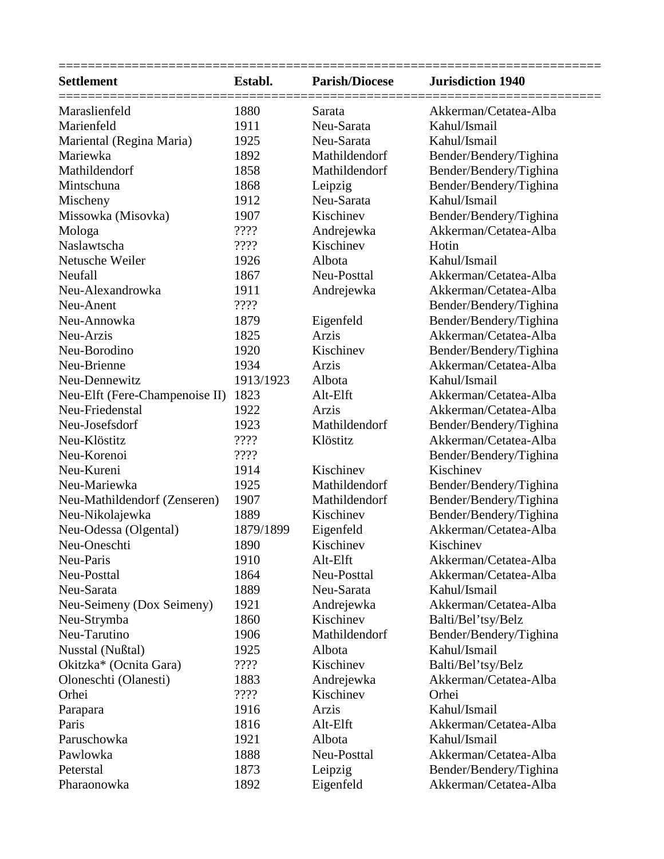| <b>Settlement</b>              | Establ.   | <b>Parish/Diocese</b> | <b>Jurisdiction 1940</b> |
|--------------------------------|-----------|-----------------------|--------------------------|
| Maraslienfeld                  | 1880      | Sarata                | Akkerman/Cetatea-Alba    |
| Marienfeld                     | 1911      | Neu-Sarata            | Kahul/Ismail             |
| Mariental (Regina Maria)       | 1925      | Neu-Sarata            | Kahul/Ismail             |
| Mariewka                       | 1892      | Mathildendorf         | Bender/Bendery/Tighina   |
| Mathildendorf                  | 1858      | Mathildendorf         | Bender/Bendery/Tighina   |
| Mintschuna                     | 1868      | Leipzig               | Bender/Bendery/Tighina   |
| Mischeny                       | 1912      | Neu-Sarata            | Kahul/Ismail             |
| Missowka (Misovka)             | 1907      | Kischinev             | Bender/Bendery/Tighina   |
| Mologa                         | ????      | Andrejewka            | Akkerman/Cetatea-Alba    |
| Naslawtscha                    | ????      | Kischinev             | Hotin                    |
| Netusche Weiler                | 1926      | Albota                | Kahul/Ismail             |
| Neufall                        | 1867      | Neu-Posttal           | Akkerman/Cetatea-Alba    |
| Neu-Alexandrowka               | 1911      | Andrejewka            | Akkerman/Cetatea-Alba    |
| Neu-Anent                      | ????      |                       | Bender/Bendery/Tighina   |
| Neu-Annowka                    | 1879      | Eigenfeld             | Bender/Bendery/Tighina   |
| Neu-Arzis                      | 1825      | Arzis                 | Akkerman/Cetatea-Alba    |
| Neu-Borodino                   | 1920      | Kischinev             | Bender/Bendery/Tighina   |
| Neu-Brienne                    | 1934      | Arzis                 | Akkerman/Cetatea-Alba    |
| Neu-Dennewitz                  | 1913/1923 | Albota                | Kahul/Ismail             |
| Neu-Elft (Fere-Champenoise II) | 1823      | Alt-Elft              | Akkerman/Cetatea-Alba    |
| Neu-Friedenstal                | 1922      | Arzis                 | Akkerman/Cetatea-Alba    |
| Neu-Josefsdorf                 | 1923      | Mathildendorf         | Bender/Bendery/Tighina   |
| Neu-Klöstitz                   | ????      | Klöstitz              | Akkerman/Cetatea-Alba    |
| Neu-Korenoi                    | 2222      |                       | Bender/Bendery/Tighina   |
| Neu-Kureni                     | 1914      | Kischinev             | Kischinev                |
| Neu-Mariewka                   | 1925      | Mathildendorf         | Bender/Bendery/Tighina   |
| Neu-Mathildendorf (Zenseren)   | 1907      | Mathildendorf         | Bender/Bendery/Tighina   |
| Neu-Nikolajewka                | 1889      | Kischinev             | Bender/Bendery/Tighina   |
| Neu-Odessa (Olgental)          | 1879/1899 | Eigenfeld             | Akkerman/Cetatea-Alba    |
| Neu-Oneschti                   | 1890      | Kischinev             | Kischinev                |
| Neu-Paris                      | 1910      | Alt-Elft              | Akkerman/Cetatea-Alba    |
| Neu-Posttal                    | 1864      | Neu-Posttal           | Akkerman/Cetatea-Alba    |
| Neu-Sarata                     | 1889      | Neu-Sarata            | Kahul/Ismail             |
| Neu-Seimeny (Dox Seimeny)      | 1921      | Andrejewka            | Akkerman/Cetatea-Alba    |
| Neu-Strymba                    | 1860      | Kischinev             | Balti/Bel'tsy/Belz       |
| Neu-Tarutino                   | 1906      | Mathildendorf         | Bender/Bendery/Tighina   |
| Nusstal (Nußtal)               | 1925      | Albota                | Kahul/Ismail             |
| Okitzka* (Ocnita Gara)         | ????      | Kischinev             | Balti/Bel'tsy/Belz       |
| Oloneschti (Olanesti)          | 1883      | Andrejewka            | Akkerman/Cetatea-Alba    |
| Orhei                          | ????      | Kischinev             | Orhei                    |
| Parapara                       | 1916      | Arzis                 | Kahul/Ismail             |
| Paris                          | 1816      | Alt-Elft              | Akkerman/Cetatea-Alba    |
| Paruschowka                    | 1921      | Albota                | Kahul/Ismail             |
| Pawlowka                       | 1888      | Neu-Posttal           | Akkerman/Cetatea-Alba    |
| Peterstal                      | 1873      | Leipzig               | Bender/Bendery/Tighina   |
| Pharaonowka                    | 1892      | Eigenfeld             | Akkerman/Cetatea-Alba    |